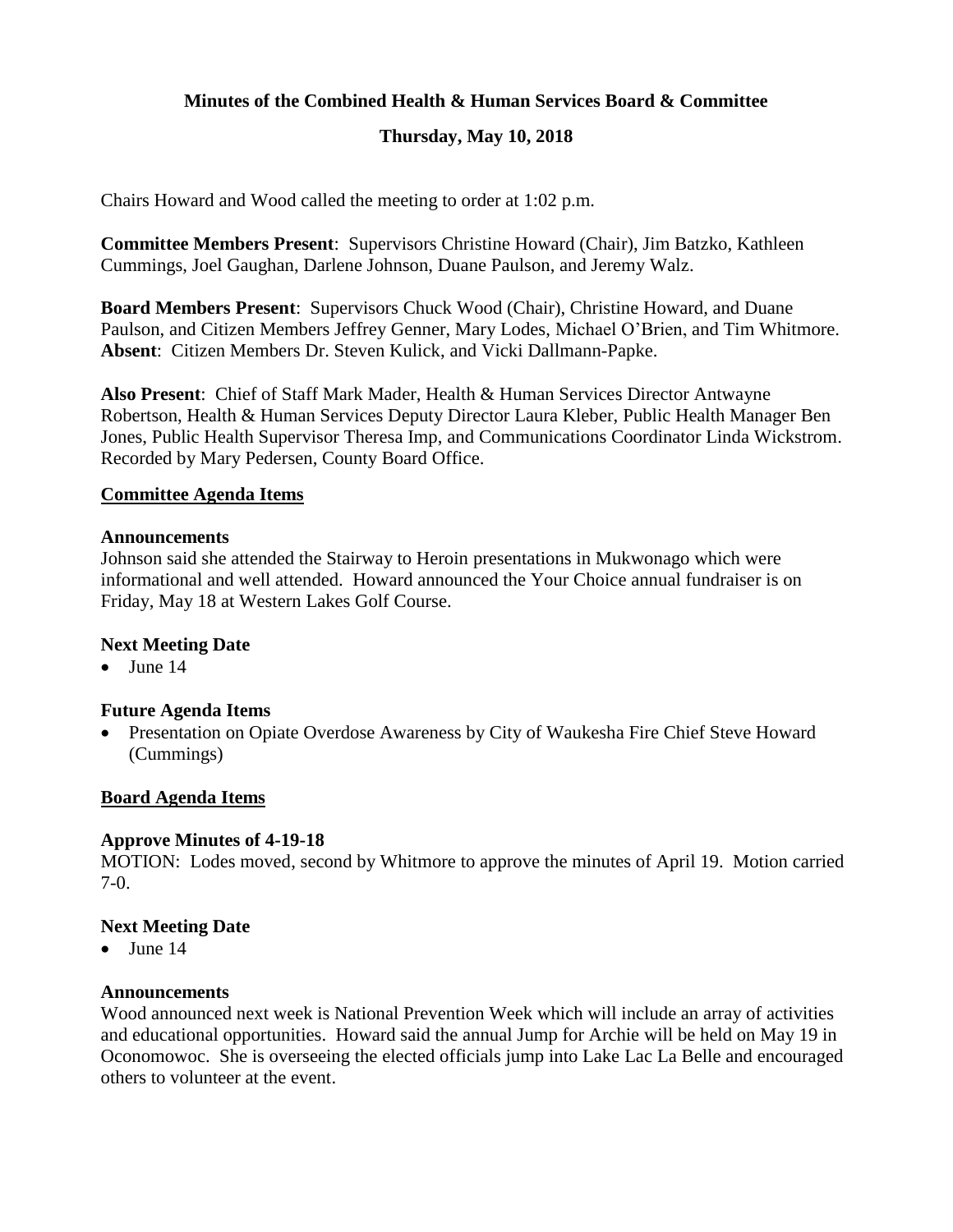## **Minutes of the Combined Health & Human Services Board & Committee**

# **Thursday, May 10, 2018**

Chairs Howard and Wood called the meeting to order at 1:02 p.m.

**Committee Members Present**: Supervisors Christine Howard (Chair), Jim Batzko, Kathleen Cummings, Joel Gaughan, Darlene Johnson, Duane Paulson, and Jeremy Walz.

**Board Members Present**: Supervisors Chuck Wood (Chair), Christine Howard, and Duane Paulson, and Citizen Members Jeffrey Genner, Mary Lodes, Michael O'Brien, and Tim Whitmore. **Absent**: Citizen Members Dr. Steven Kulick, and Vicki Dallmann-Papke.

**Also Present**: Chief of Staff Mark Mader, Health & Human Services Director Antwayne Robertson, Health & Human Services Deputy Director Laura Kleber, Public Health Manager Ben Jones, Public Health Supervisor Theresa Imp, and Communications Coordinator Linda Wickstrom. Recorded by Mary Pedersen, County Board Office.

#### **Committee Agenda Items**

#### **Announcements**

Johnson said she attended the Stairway to Heroin presentations in Mukwonago which were informational and well attended. Howard announced the Your Choice annual fundraiser is on Friday, May 18 at Western Lakes Golf Course.

#### **Next Meeting Date**

 $\bullet$  June 14

#### **Future Agenda Items**

• Presentation on Opiate Overdose Awareness by City of Waukesha Fire Chief Steve Howard (Cummings)

#### **Board Agenda Items**

#### **Approve Minutes of 4-19-18**

MOTION: Lodes moved, second by Whitmore to approve the minutes of April 19. Motion carried 7-0.

#### **Next Meeting Date**

 $\bullet$  June 14

#### **Announcements**

Wood announced next week is National Prevention Week which will include an array of activities and educational opportunities. Howard said the annual Jump for Archie will be held on May 19 in Oconomowoc. She is overseeing the elected officials jump into Lake Lac La Belle and encouraged others to volunteer at the event.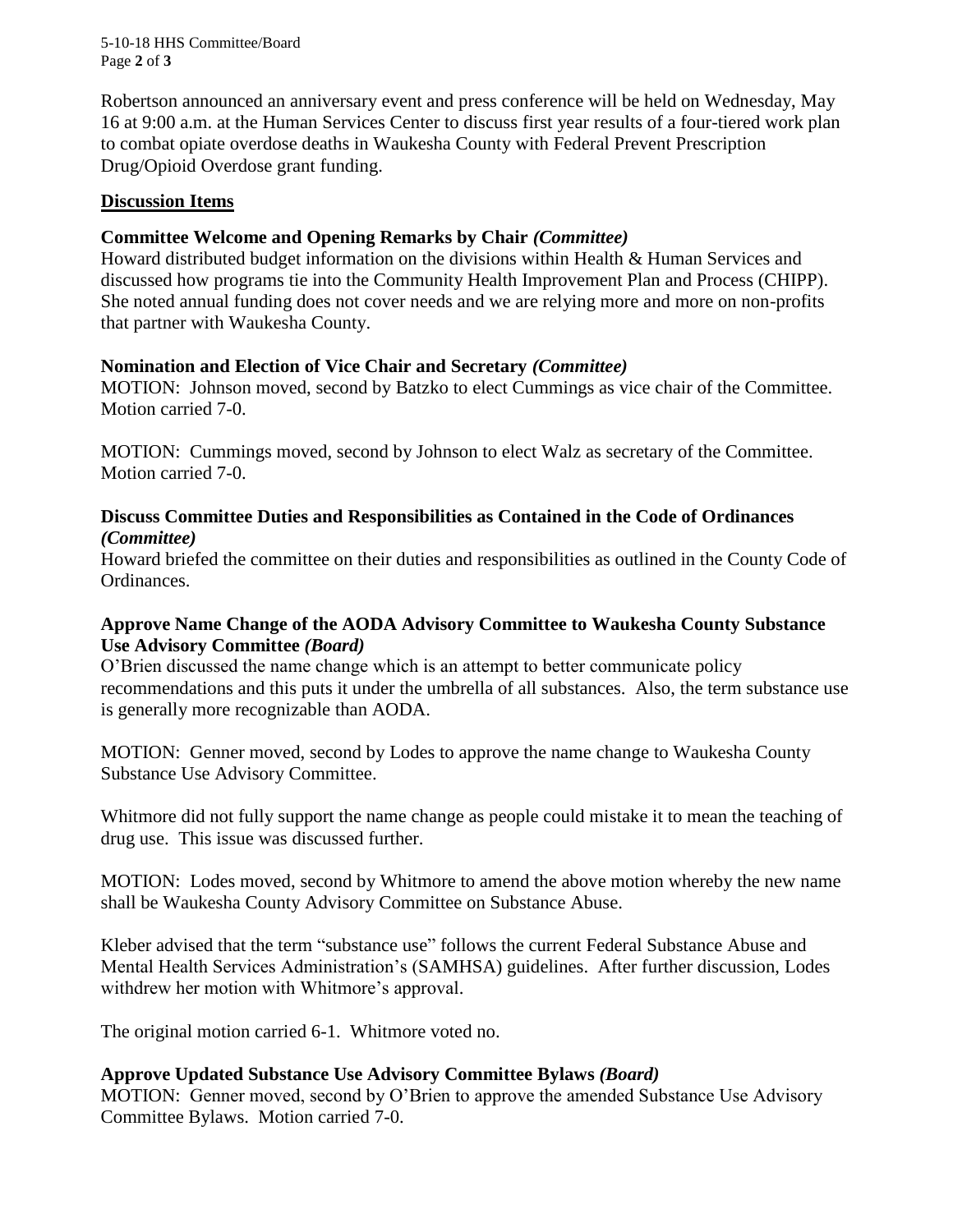5-10-18 HHS Committee/Board Page **2** of **3**

Robertson announced an anniversary event and press conference will be held on Wednesday, May 16 at 9:00 a.m. at the Human Services Center to discuss first year results of a four-tiered work plan to combat opiate overdose deaths in Waukesha County with Federal Prevent Prescription Drug/Opioid Overdose grant funding.

### **Discussion Items**

## **Committee Welcome and Opening Remarks by Chair** *(Committee)*

Howard distributed budget information on the divisions within Health & Human Services and discussed how programs tie into the Community Health Improvement Plan and Process (CHIPP). She noted annual funding does not cover needs and we are relying more and more on non-profits that partner with Waukesha County.

## **Nomination and Election of Vice Chair and Secretary** *(Committee)*

MOTION: Johnson moved, second by Batzko to elect Cummings as vice chair of the Committee. Motion carried 7-0.

MOTION: Cummings moved, second by Johnson to elect Walz as secretary of the Committee. Motion carried 7-0.

### **Discuss Committee Duties and Responsibilities as Contained in the Code of Ordinances**  *(Committee)*

Howard briefed the committee on their duties and responsibilities as outlined in the County Code of Ordinances.

## **Approve Name Change of the AODA Advisory Committee to Waukesha County Substance Use Advisory Committee** *(Board)*

O'Brien discussed the name change which is an attempt to better communicate policy recommendations and this puts it under the umbrella of all substances. Also, the term substance use is generally more recognizable than AODA.

MOTION: Genner moved, second by Lodes to approve the name change to Waukesha County Substance Use Advisory Committee.

Whitmore did not fully support the name change as people could mistake it to mean the teaching of drug use. This issue was discussed further.

MOTION: Lodes moved, second by Whitmore to amend the above motion whereby the new name shall be Waukesha County Advisory Committee on Substance Abuse.

Kleber advised that the term "substance use" follows the current Federal Substance Abuse and Mental Health Services Administration's (SAMHSA) guidelines. After further discussion, Lodes withdrew her motion with Whitmore's approval.

The original motion carried 6-1. Whitmore voted no.

# **Approve Updated Substance Use Advisory Committee Bylaws** *(Board)*

MOTION: Genner moved, second by O'Brien to approve the amended Substance Use Advisory Committee Bylaws. Motion carried 7-0.